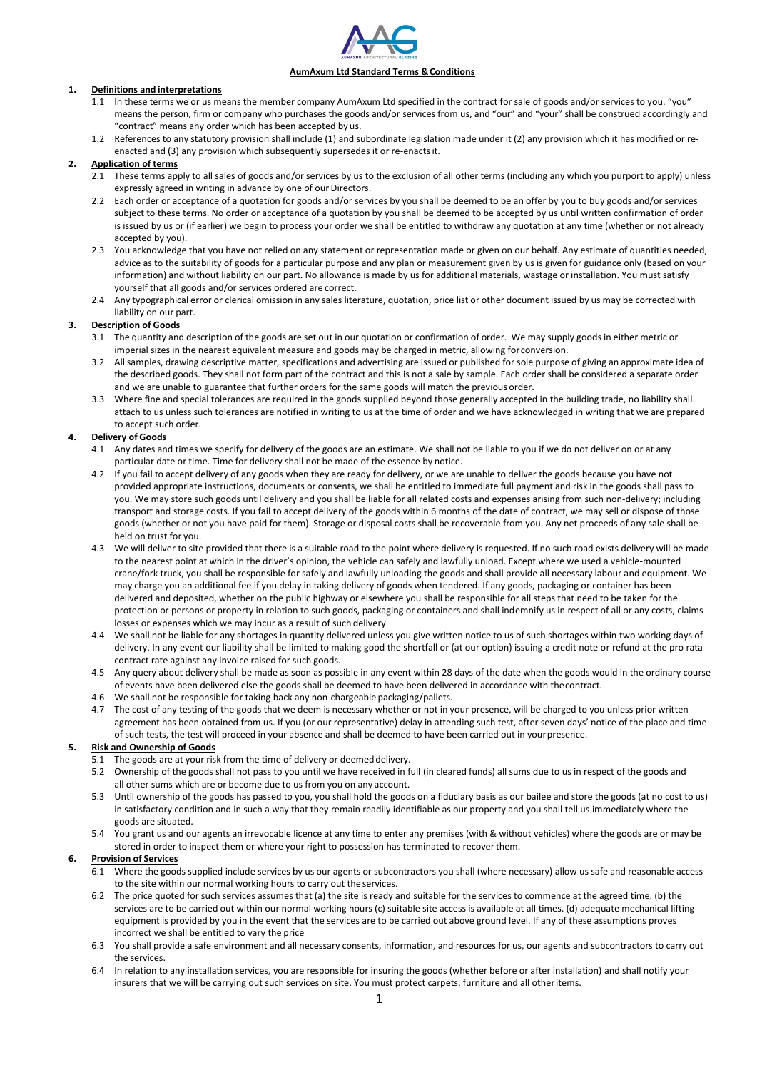

## **AumAxum Ltd Standard Terms &Conditions**

# **1. Definitions and interpretations**<br>**1.1** In these terms we or us me

- In these terms we or us means the member company AumAxum Ltd specified in the contract for sale of goods and/or services to you. "you" means the person, firm or company who purchases the goods and/or services from us, and "our" and "your" shall be construed accordingly and "contract" means any order which has been accepted by us.
- 1.2 References to any statutory provision shall include (1) and subordinate legislation made under it (2) any provision which it has modified or reenacted and (3) any provision which subsequently supersedes it or re-enactsit.

# **2. Application of terms**

- 2.1 These terms apply to all sales of goods and/or services by us to the exclusion of all other terms (including any which you purport to apply) unless expressly agreed in writing in advance by one of our Directors.
- 2.2 Each order or acceptance of a quotation for goods and/or services by you shall be deemed to be an offer by you to buy goods and/or services subject to these terms. No order or acceptance of a quotation by you shall be deemed to be accepted by us until written confirmation of order is issued by us or (if earlier) we begin to process your order we shall be entitled to withdraw any quotation at any time (whether or not already accepted by you).
- 2.3 You acknowledge that you have not relied on any statement or representation made or given on our behalf. Any estimate of quantities needed, advice as to the suitability of goods for a particular purpose and any plan or measurement given by us is given for guidance only (based on your information) and without liability on our part. No allowance is made by us for additional materials, wastage or installation. You must satisfy yourself that all goods and/or services ordered are correct.
- 2.4 Any typographical error or clerical omission in any sales literature, quotation, price list or other document issued by us may be corrected with liability on our part.

# **3. Description of Goods**

- 3.1 The quantity and description of the goods are set out in our quotation or confirmation of order. We may supply goods in either metric or imperial sizes in the nearest equivalent measure and goods may be charged in metric, allowing forconversion.
- 3.2 Allsamples, drawing descriptive matter, specifications and advertising are issued or published for sole purpose of giving an approximate idea of the described goods. They shall not form part of the contract and this is not a sale by sample. Each order shall be considered a separate order and we are unable to guarantee that further orders for the same goods will match the previous order.
- 3.3 Where fine and special tolerances are required in the goods supplied beyond those generally accepted in the building trade, no liability shall attach to us unless such tolerances are notified in writing to us at the time of order and we have acknowledged in writing that we are prepared to accept such order.

# **4. Delivery of Goods**

- 4.1 Any dates and times we specify for delivery of the goods are an estimate. We shall not be liable to you if we do not deliver on or at any particular date or time. Time for delivery shall not be made of the essence by notice.
- 4.2 If you fail to accept delivery of any goods when they are ready for delivery, or we are unable to deliver the goods because you have not provided appropriate instructions, documents or consents, we shall be entitled to immediate full payment and risk in the goods shall pass to you. We may store such goods until delivery and you shall be liable for all related costs and expenses arising from such non-delivery; including transport and storage costs. If you fail to accept delivery of the goods within 6 months of the date of contract, we may sell or dispose of those goods (whether or not you have paid for them). Storage or disposal costs shall be recoverable from you. Any net proceeds of any sale shall be held on trust for you.
- 4.3 We will deliver to site provided that there is a suitable road to the point where delivery is requested. If no such road exists delivery will be made to the nearest point at which in the driver's opinion, the vehicle can safely and lawfully unload. Except where we used a vehicle-mounted crane/fork truck, you shall be responsible for safely and lawfully unloading the goods and shall provide all necessary labour and equipment. We may charge you an additional fee if you delay in taking delivery of goods when tendered. If any goods, packaging or container has been delivered and deposited, whether on the public highway or elsewhere you shall be responsible for all steps that need to be taken for the protection or persons or property in relation to such goods, packaging or containers and shall indemnify us in respect of all or any costs, claims losses or expenses which we may incur as a result of such delivery
- 4.4 We shall not be liable for any shortages in quantity delivered unless you give written notice to us of such shortages within two working days of delivery. In any event our liability shall be limited to making good the shortfall or (at our option) issuing a credit note or refund at the pro rata contract rate against any invoice raised for such goods.
- 4.5 Any query about delivery shall be made as soon as possible in any event within 28 days of the date when the goods would in the ordinary course of events have been delivered else the goods shall be deemed to have been delivered in accordance with thecontract.
- 4.6 We shall not be responsible for taking back any non-chargeable packaging/pallets.
- 4.7 The cost of any testing of the goods that we deem is necessary whether or not in your presence, will be charged to you unless prior written agreement has been obtained from us. If you (or our representative) delay in attending such test, after seven days' notice of the place and time of such tests, the test will proceed in your absence and shall be deemed to have been carried out in yourpresence.

## **5. Risk and Ownership of Goods**

- 5.1 The goods are at your risk from the time of delivery or deemed delivery.
- 5.2 Ownership of the goods shall not pass to you until we have received in full (in cleared funds) all sums due to us in respect of the goods and all other sums which are or become due to us from you on any account.
- 5.3 Until ownership of the goods has passed to you, you shall hold the goods on a fiduciary basis as our bailee and store the goods (at no cost to us) in satisfactory condition and in such a way that they remain readily identifiable as our property and you shall tell us immediately where the goods are situated.
- 5.4 You grant us and our agents an irrevocable licence at any time to enter any premises (with & without vehicles) where the goods are or may be stored in order to inspect them or where your right to possession has terminated to recoverthem.

## **6. Provision of Services**

- 6.1 Where the goods supplied include services by us our agents or subcontractors you shall (where necessary) allow us safe and reasonable access to the site within our normal working hours to carry out the services.
- 6.2 The price quoted for such services assumes that (a) the site is ready and suitable for the services to commence at the agreed time. (b) the services are to be carried out within our normal working hours (c) suitable site access is available at all times. (d) adequate mechanical lifting equipment is provided by you in the event that the services are to be carried out above ground level. If any of these assumptions proves incorrect we shall be entitled to vary the price
- 6.3 You shall provide a safe environment and all necessary consents, information, and resources for us, our agents and subcontractors to carry out the services.
- 6.4 In relation to any installation services, you are responsible for insuring the goods (whether before or after installation) and shall notify your insurers that we will be carrying out such services on site. You must protect carpets, furniture and all otheritems.